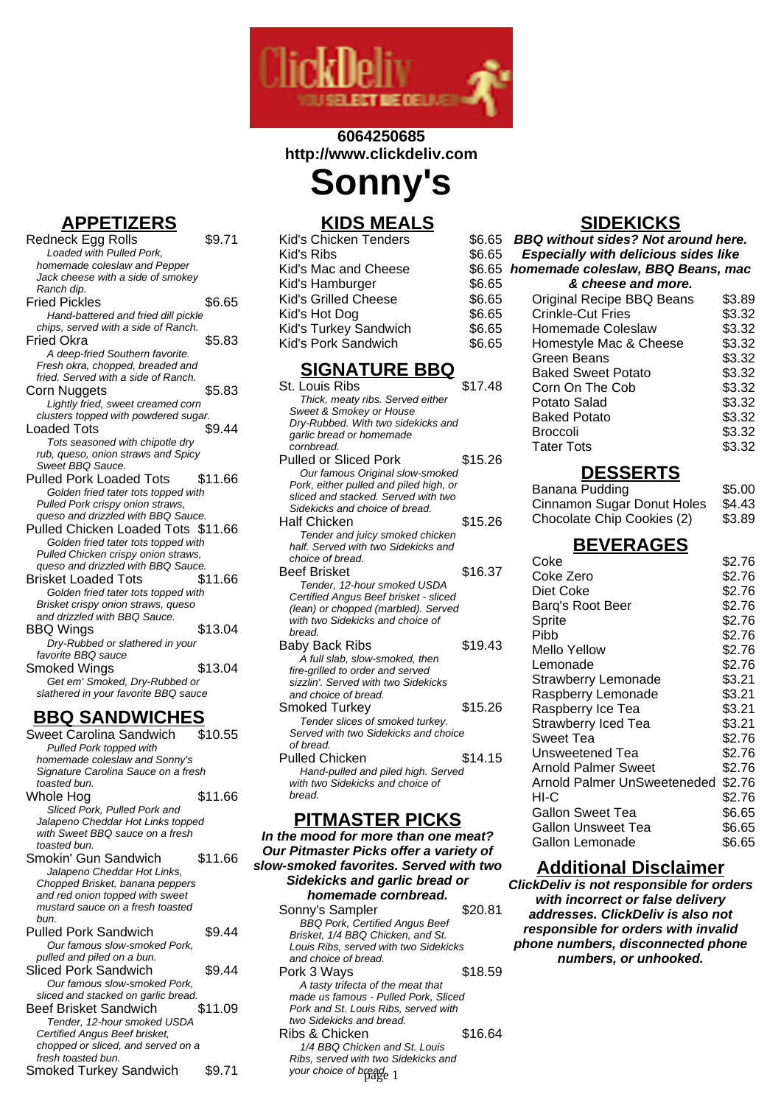

# **6064250685 http://www.clickdeliv.com Sonny's**

### **APPETIZERS**

- Redneck Egg Rolls \$9.71 Loaded with Pulled Pork, homemade coleslaw and Pepper Jack cheese with a side of smokey Ranch dip. Fried Pickles \$6.65 Hand-battered and fried dill pickle chips, served with a side of Ranch. Fried Okra  $$5.83$ A deep-fried Southern favorite. Fresh okra, chopped, breaded and fried. Served with a side of Ranch. Corn Nuggets 65.83 Lightly fried, sweet creamed corn clusters topped with powdered sugar. Loaded Tots \$9.44 Tots seasoned with chipotle dry rub, queso, onion straws and Spicy Sweet BBQ Sauce. Pulled Pork Loaded Tots \$11.66 Golden fried tater tots topped with Pulled Pork crispy onion straws, queso and drizzled with BBQ Sauce. Pulled Chicken Loaded Tots \$11.66 Golden fried tater tots topped with Pulled Chicken crispy onion straws, queso and drizzled with BBQ Sauce. Brisket Loaded Tots \$11.66 Golden fried tater tots topped with Brisket crispy onion straws, queso and drizzled with BBQ Sauce. BBQ Wings \$13.04 Dry-Rubbed or slathered in your
- favorite BBQ sauce Smoked Wings \$13.04 Get em' Smoked, Dry-Rubbed or slathered in your favorite BBQ sauce

# **BBQ SANDWICHES**

Sweet Carolina Sandwich Pulled Pork topped with homemade coleslaw and Sonny's Signature Carolina Sauce on a fresh toasted bun. Whole Hog  $$11.66$ Sliced Pork, Pulled Pork and Jalapeno Cheddar Hot Links topped with Sweet BBQ sauce on a fresh toasted bun. Smokin' Gun Sandwich \$11.66 Jalapeno Cheddar Hot Links, Chopped Brisket, banana peppers and red onion topped with sweet mustard sauce on a fresh toasted bun. Pulled Pork Sandwich \$9.44 Our famous slow-smoked Pork, pulled and piled on a bun. Sliced Pork Sandwich \$9.44 Our famous slow-smoked Pork, sliced and stacked on garlic bread. Beef Brisket Sandwich \$11.09 Tender, 12-hour smoked USDA Certified Angus Beef brisket, chopped or sliced, and served on a fresh toasted bun. Smoked Turkey Sandwich \$9.71

# **KIDS MEALS**

| Kid's Chicken Tenders<br>\$6.65 |  |
|---------------------------------|--|
| \$6.65<br>Kid's Ribs            |  |
| \$6.65<br>Kid's Mac and Cheese  |  |
| \$6.65<br>Kid's Hamburger       |  |
| Kid's Grilled Cheese<br>\$6.65  |  |
| \$6.65<br>Kid's Hot Dog         |  |
| \$6.65<br>Kid's Turkey Sandwich |  |
| Kid's Pork Sandwich<br>\$6.65   |  |

#### **SIGNATURE BBQ**

| St. Louis Ribs                         | \$17.48 |
|----------------------------------------|---------|
| Thick, meaty ribs. Served either       |         |
| Sweet & Smokey or House                |         |
| Dry-Rubbed. With two sidekicks and     |         |
| garlic bread or homemade               |         |
| cornbread.                             |         |
| <b>Pulled or Sliced Pork</b>           | \$15.26 |
| Our famous Original slow-smoked        |         |
| Pork, either pulled and piled high, or |         |
| sliced and stacked. Served with two    |         |
| Sidekicks and choice of bread.         |         |
| Half Chicken                           | \$15.26 |
| Tender and juicy smoked chicken        |         |
| half. Served with two Sidekicks and    |         |
| choice of bread.                       |         |
| <b>Beef Brisket</b>                    | \$16.37 |
| Tender, 12-hour smoked USDA            |         |
| Certified Angus Beef brisket - sliced  |         |
| (lean) or chopped (marbled). Served    |         |
| with two Sidekicks and choice of       |         |
| bread.                                 |         |
| Baby Back Ribs                         | \$19.43 |
| A full slab, slow-smoked, then         |         |
| fire-grilled to order and served       |         |
| sizzlin'. Served with two Sidekicks    |         |
| and choice of bread.                   |         |
| Smoked Turkey                          | \$15.26 |
| Tender slices of smoked turkey.        |         |
| Served with two Sidekicks and choice   |         |
| of bread.                              |         |
| <b>Pulled Chicken</b>                  | \$14.15 |
| Hand-pulled and piled high. Served     |         |
| with two Sidekicks and choice of       |         |
| bread.                                 |         |
|                                        |         |

#### **PITMASTER PICKS**

**In the mood for more than one meat? Our Pitmaster Picks offer a variety of slow-smoked favorites. Served with two Sidekicks and garlic bread or homemade cornbread.** Sonny's Sampler \$20.81 BBQ Pork, Certified Angus Beef Brisket, 1/4 BBQ Chicken, and St. Louis Ribs, served with two Sidekicks and choice of bread. Pork 3 Ways \$18.59 A tasty trifecta of the meat that made us famous - Pulled Pork, Sliced Pork and St. Louis Ribs, served with two Sidekicks and bread. Ribs & Chicken \$16.64 1/4 BBQ Chicken and St. Louis Ribs, served with two Sidekicks and your choice of bread<sub>e 1</sub>

#### **SIDEKICKS BBQ without sides? Not around here.**

| bbw without sides? Ivol around here.        |        |
|---------------------------------------------|--------|
| <b>Especially with delicious sides like</b> |        |
| homemade coleslaw, BBQ Beans, mac           |        |
| & cheese and more.                          |        |
| Original Recipe BBQ Beans                   | \$3.89 |
| <b>Crinkle-Cut Fries</b>                    | \$3.32 |
| Homemade Coleslaw                           | \$3.32 |
| Homestyle Mac & Cheese                      | \$3.32 |
| Green Beans                                 | \$3.32 |
| <b>Baked Sweet Potato</b>                   | \$3.32 |
| Corn On The Cob                             | \$3.32 |
| Potato Salad                                | \$3.32 |
| <b>Baked Potato</b>                         | \$3.32 |
| <b>Broccoli</b>                             | \$3.32 |
| <b>Tater Tots</b>                           | \$3.32 |
| <b>DESSERTS</b>                             |        |
| Banana Pudding                              | \$5.00 |
| Cinnamon Sugar Donut Holes                  | \$4.43 |
| Chocolate Chip Cookies (2)                  | \$3.89 |
|                                             |        |

### **BEVERAGES**

| Coke                        | \$2.76 |
|-----------------------------|--------|
| Coke Zero                   | \$2.76 |
| Diet Coke                   | \$2.76 |
| Barq's Root Beer            | \$2.76 |
| Sprite                      | \$2.76 |
| Pibb                        | \$2.76 |
| <b>Mello Yellow</b>         | \$2.76 |
| Lemonade                    | \$2.76 |
| <b>Strawberry Lemonade</b>  | \$3.21 |
| Raspberry Lemonade          | \$3.21 |
| Raspberry Ice Tea           | \$3.21 |
| <b>Strawberry Iced Tea</b>  | \$3.21 |
| Sweet Tea                   | \$2.76 |
| Unsweetened Tea             | \$2.76 |
| Arnold Palmer Sweet         | \$2.76 |
| Arnold Palmer UnSweeteneded | \$2.76 |
| HI-C                        | \$2.76 |
| Gallon Sweet Tea            | \$6.65 |
| Gallon Unsweet Tea          | \$6.65 |
| Gallon Lemonade             | \$6.65 |
|                             |        |

#### **Additional Disclaimer**

**ClickDeliv is not responsible for orders with incorrect or false delivery addresses. ClickDeliv is also not responsible for orders with invalid phone numbers, disconnected phone numbers, or unhooked.**